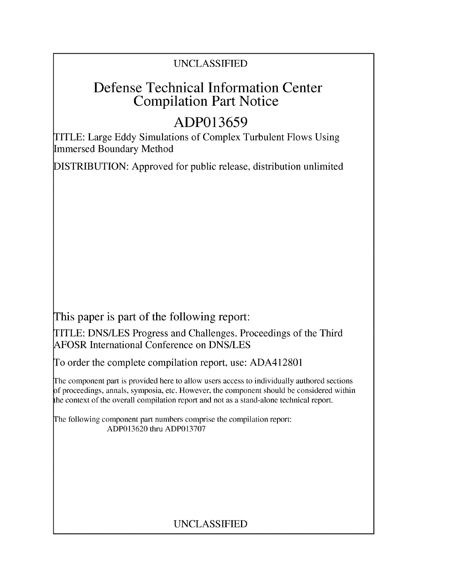## UNCLASSIFIED

# Defense Technical Information Center Compilation Part Notice

# **ADP013659**

TITLE: Large Eddy Simulations of Complex Turbulent Flows Using Immersed Boundary Method

DISTRIBUTION: Approved for public release, distribution unlimited

This paper is part of the following report:

TITLE: DNS/LES Progress and Challenges. Proceedings of the Third AFOSR International Conference on DNS/LES

To order the complete compilation report, use: ADA412801

The component part is provided here to allow users access to individually authored sections f proceedings, annals, symposia, etc. However, the component should be considered within the context of the overall compilation report and not as a stand-alone technical report.

The following component part numbers comprise the compilation report: ADP013620 thru ADP013707

## UNCLASSIFIED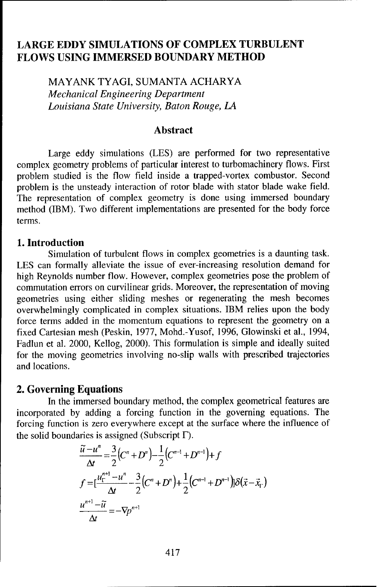## LARGE EDDY **SIMULATIONS** OF COMPLEX **TURBULENT** FLOWS **USING** IMMERSED BOUNDARY METHOD

MAYANK TYAGI, SUMANTA ACHARYA *Mechanical Engineering Department Louisiana State University, Baton Rouge, LA*

#### Abstract

Large eddy simulations (LES) are performed for two representative complex geometry problems of particular interest to turbomachinery flows. First problem studied is the flow field inside a trapped-vortex combustor. Second problem is the unsteady interaction of rotor blade with stator blade wake field. The representation of complex geometry is done using immersed boundary method (IBM). Two different implementations are presented for the body force terms.

#### 1. Introduction

Simulation of turbulent flows in complex geometries is a daunting task. LES can formally alleviate the issue of ever-increasing resolution demand for high Reynolds number flow. However, complex geometries pose the problem of commutation errors on curvilinear grids. Moreover, the representation of moving geometries using either sliding meshes or regenerating the mesh becomes overwhelmingly complicated in complex situations. IBM relies upon the body force terms added in the momentum equations to represent the geometry on a fixed Cartesian mesh (Peskin, 1977, Mohd.-Yusof, 1996, Glowinski et al., 1994, Fadlun et al. 2000, Kellog, 2000). This formulation is simple and ideally suited for the moving geometries involving no-slip walls with prescribed trajectories and locations.

### 2. Governing Equations

In the immersed boundary method, the complex geometrical features are incorporated by adding a forcing function in the governing equations. The forcing function is zero everywhere except at the surface where the influence of the solid boundaries is assigned (Subscript  $\Gamma$ ).

$$
\frac{\tilde{u} - u^n}{\Delta t} = \frac{3}{2} (C^n + D^n) - \frac{1}{2} (C^{n-1} + D^{n-1}) + f
$$
\n
$$
f = [\frac{u_1^{n+1} - u^n}{\Delta t} - \frac{3}{2} (C^n + D^n) + \frac{1}{2} (C^{n-1} + D^{n-1})] \delta(\bar{x} - \bar{x}_r)
$$
\n
$$
\frac{u^{n+1} - \tilde{u}}{\Delta t} = -\nabla p^{n+1}
$$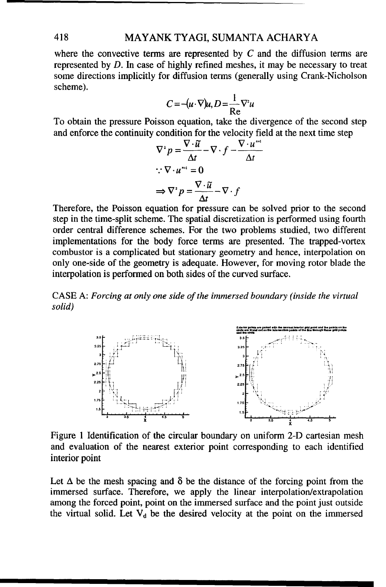### 418 MAYANK TYAGI, SUMANTA ACHARYA

where the convective terms are represented by  $C$  and the diffusion terms are represented by D. In case of highly refined meshes, it may be necessary to treat some directions implicitly for diffusion terms (generally using Crank-Nicholson scheme).

$$
C = -(u \cdot \nabla)u, D = \frac{1}{Re} \nabla^2 u
$$

To obtain the pressure Poisson equation, take the divergence of the second step and enforce the continuity condition for the velocity field at the next time step

$$
\nabla^2 p = \frac{\nabla \cdot \widetilde{u}}{\Delta t} - \nabla \cdot f - \frac{\nabla \cdot u^{n}}{\Delta t}
$$
  
 
$$
\therefore \nabla \cdot u^{n} = 0
$$
  
 
$$
\Rightarrow \nabla^2 p = \frac{\nabla \cdot \widetilde{u}}{\Delta t} - \nabla \cdot f
$$

Therefore, the Poisson equation for pressure can be solved prior to the second step in the time-split scheme. The spatial discretization is performed using fourth order central difference schemes. For the two problems studied, two different implementations for the body force terms are presented. The trapped-vortex combustor is a complicated but stationary geometry and hence, interpolation on only one-side of the geometry is adequate. However, for moving rotor blade the interpolation is performed on both sides of the curved surface.

CASE A: *Forcing at only one side of the immersed boundary (inside the virtual solid)*



Figure 1 Identification of the circular boundary on uniform 2-D cartesian mesh and evaluation of the nearest exterior point corresponding to each identified interior point

Let A be the **2** mesh spacing and be the distance of the forcing point from the

immersed surface. Therefore, we apply the linear interpolation/extrapolation among the forced point, point on the immersed surface and the point just outside the virtual solid. Let  $V_d$  be the desired velocity at the point on the immersed Let  $\Delta$  be the mesh spacing and  $\delta$  be the distance of the forcing point from the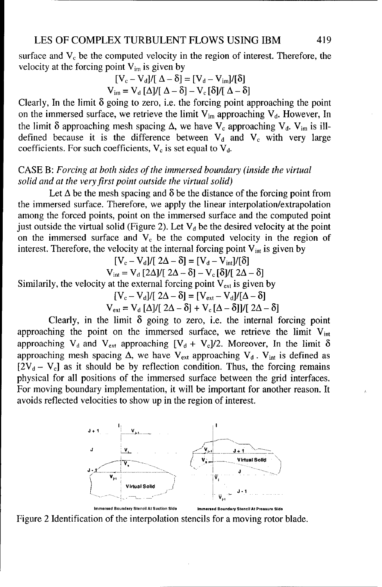surface and  $V_c$  be the computed velocity in the region of interest. Therefore, the velocity at the forcing point  $V_{im}$  is given by

$$
[V_c - V_d]/[\Delta - \delta] = [V_d - V_{im}]/[\delta]
$$
  

$$
V_{im} = V_d [\Delta]/[\Delta - \delta] - V_c [\delta]/[\Delta - \delta]
$$

Clearly, In the limit **8** going to zero, i.e. the forcing point approaching the point on the immersed surface, we retrieve the limit  $V_{im}$  approaching  $V_{d}$ . However, In the limit  $\delta$  approaching mesh spacing  $\Delta$ , we have  $V_c$  approaching  $V_d$ .  $V_{im}$  is illdefined because it is the difference between  $V_d$  and  $V_c$  with very large coefficients. For such coefficients,  $V_c$  is set equal to  $V_d$ .

## CASE B: *Forcing at both sides of the immersed boundary (inside the virtual solid and at the very first point outside the virtual solid)*

Let  $\Delta$  be the mesh spacing and  $\delta$  be the distance of the forcing point from the immersed surface. Therefore, we apply the linear interpolation/extrapolation among the forced points, point on the immersed surface and the computed point just outside the virtual solid (Figure 2). Let  $V_d$  be the desired velocity at the point on the immersed surface and  $V_c$  be the computed velocity in the region of interest. Therefore, the velocity at the internal forcing point  $V_{int}$  is given by

$$
[V_c - V_d]/[2\Delta - \delta] = [V_d - V_{int}]/[\delta]
$$

$$
V_{int} = V_d [2\Delta]/[2\Delta - \delta] - V_c [\delta]/[2\Delta - \delta]
$$

Similarily, the velocity at the external forcing point  $V_{ext}$  is given by

$$
[V_c - V_d]/[2\Delta - \delta] = [V_{ext} - V_d]/[\Delta - \delta]
$$

$$
V_{ext} = V_d [\Delta]/[2\Delta - \delta] + V_c [\Delta - \delta]/[2\Delta - \delta]
$$

Clearly, in the limit  $\delta$  going to zero, i.e. the internal forcing point approaching the point on the immersed surface, we retrieve the limit V<sub>int</sub> approaching V<sub>d</sub> and V<sub>ext</sub> approaching [V<sub>d</sub> + V<sub>c</sub>]/2. Moreover, In the limit  $\delta$ approaching mesh spacing  $\Delta$ , we have V<sub>ext</sub> approaching V<sub>d</sub>. V<sub>int</sub> is defined as  $[2V_d - V_c]$  as it should be by reflection condition. Thus, the forcing remains physical for all positions of the immersed surface between the grid interfaces. For moving boundary implementation, it will be important for another reason. It avoids reflected velocities to show up in the region of interest.



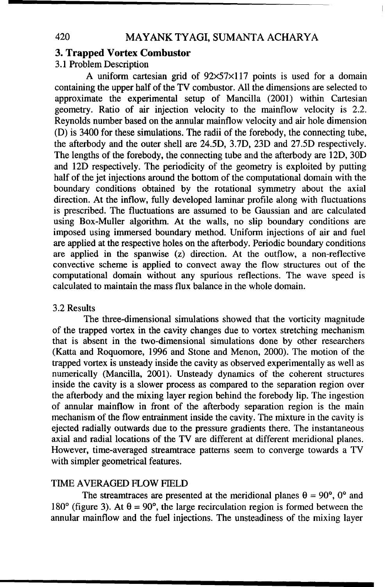### 3. Trapped Vortex Combustor

3.1 Problem Description

A uniform cartesian grid of  $92\times57\times117$  points is used for a domain containing the upper half of the TV combustor. All the dimensions are selected to approximate the experimental setup of Mancilla (2001) within Cartesian geometry. Ratio of air injection velocity to the mainflow velocity is 2.2. Reynolds number based on the annular mainflow velocity and air hole dimension (D) is 3400 for these simulations. The radii of the forebody, the connecting tube, the afterbody and the outer shell are 24.5D, 3.7D, 23D and 27.5D respectively. The lengths of the forebody, the connecting tube and the afterbody are 12D, 30D and 12D respectively. The periodicity of the geometry is exploited by putting half of the jet injections around the bottom of the computational domain with the boundary conditions obtained by the rotational symmetry about the axial direction. At the inflow, fully developed laminar profile along with fluctuations is prescribed. The fluctuations are assumed to be Gaussian and are calculated using Box-Muller algorithm. At the walls, no slip boundary conditions are imposed using immersed boundary method. Uniform injections of air and fuel are applied at the respective holes on the afterbody. Periodic boundary conditions are applied in the spanwise (z) direction. At the outflow, a non-reflective convective scheme is applied to convect away the flow structures out of the computational domain without any spurious reflections. The wave speed is calculated to maintain the mass flux balance in the whole domain.

#### 3.2 Results

The three-dimensional simulations showed that the vorticity magnitude of the trapped vortex in the cavity changes due to vortex stretching mechanism that is absent in the two-dimensional simulations done by other researchers (Katta and Roquomore, 1996 and Stone and Menon, 2000). The motion of the trapped vortex is unsteady inside the cavity as observed experimentally as well as numerically (Mancilla, 2001). Unsteady dynamics of the coherent structures inside the cavity is a slower process as compared to the separation region over the afterbody and the mixing layer region behind the forebody lip. The ingestion of annular mainflow in front of the afterbody separation region is the main mechanism of the flow entrainment inside the cavity. The mixture in the cavity is ejected radially outwards due to the pressure gradients there. The instantaneous axial and radial locations of the TV are different at different meridional planes. However, time-averaged streamtrace patterns seem to converge towards a TV with simpler geometrical features.

#### TIME AVERAGED FLOW FIELD

The streamtraces are presented at the meridional planes  $\theta = 90^{\circ}$ ,  $0^{\circ}$  and 180<sup>o</sup> (figure 3). At  $\theta = 90^\circ$ , the large recirculation region is formed between the annular mainflow and the fuel injections. The unsteadiness of the mixing layer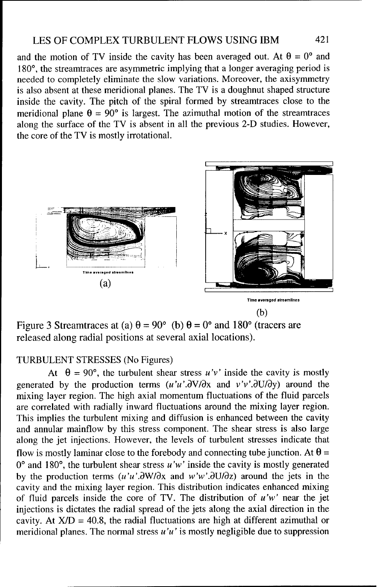and the motion of TV inside the cavity has been averaged out. At  $\theta = 0^{\circ}$  and 180°, the streamtraces are asymmetric implying that a longer averaging period is needed to completely eliminate the slow variations. Moreover, the axisymmetry is also absent at these meridional planes. The TV is a doughnut shaped structure inside the cavity. The pitch of the spiral formed by streamtraces close to the meridional plane  $\theta = 90^{\circ}$  is largest. The azimuthal motion of the streamtraces along the surface of the TV is absent in all the previous 2-D studies. However, the core of the TV is mostly irrotational.



Figure 3 Streamtraces at (a)  $\theta = 90^{\circ}$  (b)  $\theta = 0^{\circ}$  and 180° (tracers are released along radial positions at several axial locations).

## TURBULENT STRESSES (No Figures)

At  $\theta = 90^{\circ}$ , the turbulent shear stress  $u'v'$  inside the cavity is mostly generated by the production terms  $(u'u'.\partial V/\partial x$  and  $v'v'.\partial U/\partial y)$  around the mixing layer region. The high axial momentum fluctuations of the fluid parcels are correlated with radially inward fluctuations around the mixing layer region. This implies the turbulent mixing and diffusion is enhanced between the cavity and annular mainflow by this stress component. The shear stress is also large along the jet injections. However, the levels of turbulent stresses indicate that flow is mostly laminar close to the forebody and connecting tube junction. At  $\theta$  =  $0^{\circ}$  and 180°, the turbulent shear stress u'w' inside the cavity is mostly generated by the production terms  $(u'u'\partial W/\partial x$  and  $w'w'\partial U/\partial z)$  around the jets in the cavity and the mixing layer region. This distribution indicates enhanced mixing of fluid parcels inside the core of TV. The distribution of  $u'w'$  near the jet injections is dictates the radial spread of the jets along the axial direction in the cavity. At  $X/D = 40.8$ , the radial fluctuations are high at different azimuthal or meridional planes. The normal stress  $u'u'$  is mostly negligible due to suppression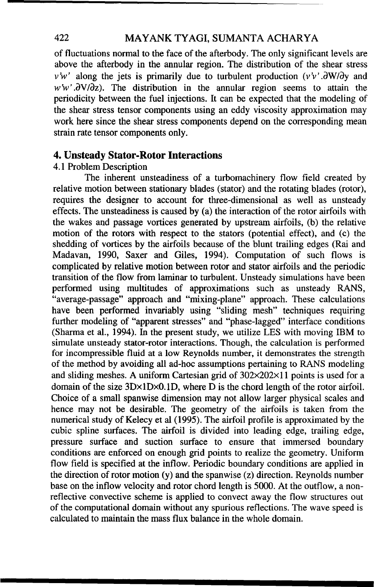#### 422 MAYANK TYAGI, SUMANTA ACHARYA

of fluctuations normal to the face of the afterbody. The only significant levels are above the afterbody in the annular region. The distribution of the shear stress  $v'w'$  along the jets is primarily due to turbulent production  $(v'v'.\partial W/\partial y$  and  $w'w'$ . $\frac{\partial V}{\partial z}$ . The distribution in the annular region seems to attain the periodicity between the fuel injections. It can be expected that the modeling of the shear stress tensor components using an eddy viscosity approximation may work here since the shear stress components depend on the corresponding mean strain rate tensor components only.

#### 4. Unsteady Stator-Rotor Interactions

#### 4.1 Problem Description

The inherent unsteadiness of a turbomachinery flow field created by relative motion between stationary blades (stator) and the rotating blades (rotor), requires the designer to account for three-dimensional as well as unsteady effects. The unsteadiness is caused by (a) the interaction of the rotor airfoils with the wakes and passage vortices generated by upstream airfoils, (b) the relative motion of the rotors with respect to the stators (potential effect), and (c) the shedding of vortices by the airfoils because of the blunt trailing edges (Rai and Madavan, 1990, Saxer and Giles, 1994). Computation of such flows is complicated by relative motion between rotor and stator airfoils and the periodic transition of the flow from laminar to turbulent. Unsteady simulations have been performed using multitudes of approximations such as unsteady RANS, "average-passage" approach and "mixing-plane" approach. These calculations have been performed invariably using "sliding mesh" techniques requiring further modeling of "apparent stresses" and "phase-lagged" interface conditions (Sharma et al., 1994). In the present study, we utilize LES with moving IBM to simulate unsteady stator-rotor interactions. Though, the calculation is performed for incompressible fluid at a low Reynolds number, it demonstrates the strength of the method by avoiding all ad-hoc assumptions pertaining to RANS modeling and sliding meshes. A uniform Cartesian grid of 302x202x11 points is used for a domain of the size 3DxlDxO. **ID,** where D is the chord length of the rotor airfoil. Choice of a small spanwise dimension may not allow larger physical scales and hence may not be desirable. The geometry of the airfoils is taken from the numerical study of Kelecy et al (1995). The airfoil profile is approximated by the cubic spline surfaces. The airfoil is divided into leading edge, trailing edge, pressure surface and suction surface to ensure that immersed boundary conditions are enforced on enough grid points to realize the geometry. Uniform flow field is specified at the inflow. Periodic boundary conditions are applied in the direction of rotor motion (y) and the spanwise (z) direction. Reynolds number base on the inflow velocity and rotor chord length is 5000. At the outflow, a nonreflective convective scheme is applied to convect away the flow structures out of the computational domain without any spurious reflections. The wave speed is calculated to maintain the mass flux balance in the whole domain.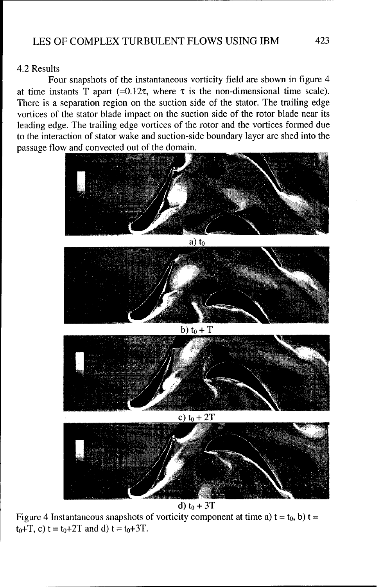#### 4.2 Results

Four snapshots of the instantaneous vorticity field are shown in figure 4 at time instants T apart (=0.12 $\tau$ , where  $\tau$  is the non-dimensional time scale). There is a separation region on the suction side of the stator. The trailing edge vortices of the stator blade impact on the suction side of the rotor blade near its leading edge. The trailing edge vortices of the rotor and the vortices formed due to the interaction of stator wake and suction-side boundary layer are shed into the passage flow and convected out of the domain.



d) to **+** 3T

Figure 4 Instantaneous snapshots of vorticity component at time a)  $t = t_0$ , b)  $t =$  $t_0+T$ , c)  $t = t_0+2T$  and d)  $t = t_0+3T$ .